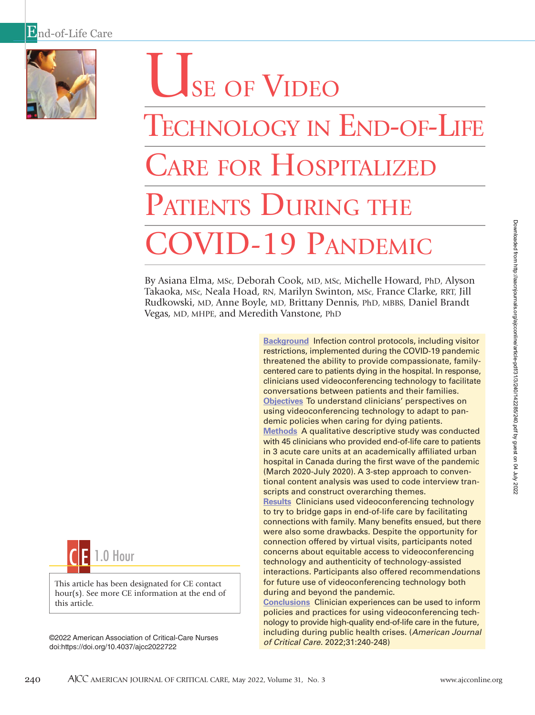

# USE OF VIDEO TECHNOLOGY IN END-OF-LIFE CARE FOR HOSPITALIZE PATIENTS DURING THE ID-19 PANDEMIC

By Asiana Elma, MSc, Deborah Cook, MD, MSc, Michelle Howard, PhD, Alyson Takaoka, MSc, Neala Hoad, RN, Marilyn Swinton, MSc, France Clarke, RRT, Jill Rudkowski, MD, Anne Boyle, MD, Brittany Dennis, PhD, MBBS, Daniel Brandt Vegas, MD, MHPE, and Meredith Vanstone, PhD



This article has been designated for CE contact hour(s). See more CE information at the end of this article.

of Critical Care. 2022;31:240-248) ©2022 American Association of Critical-Care Nurses doi:https://doi.org/10.4037/ajcc2022722

**Background** Infection control protocols, including visitor restrictions, implemented during the COVID-19 pandemic threatened the ability to provide compassionate, familycentered care to patients dying in the hospital. In response, clinicians used videoconferencing technology to facilitate conversations between patients and their families. **Objectives** To understand clinicians' perspectives on using videoconferencing technology to adapt to pandemic policies when caring for dying patients. **Methods** A qualitative descriptive study was conducted with 45 clinicians who provided end-of-life care to patients in 3 acute care units at an academically affiliated urban hospital in Canada during the first wave of the pandemic (March 2020-July 2020). A 3-step approach to conventional content analysis was used to code interview transcripts and construct overarching themes. **Results** Clinicians used videoconferencing technology to try to bridge gaps in end-of-life care by facilitating connections with family. Many benefits ensued, but there were also some drawbacks. Despite the opportunity for

connection offered by virtual visits, participants noted concerns about equitable access to videoconferencing technology and authenticity of technology-assisted interactions. Participants also offered recommendations for future use of videoconferencing technology both during and beyond the pandemic.

**Conclusions** Clinician experiences can be used to inform policies and practices for using videoconferencing technology to provide high-quality end-of-life care in the future, including during public health crises. (American Journal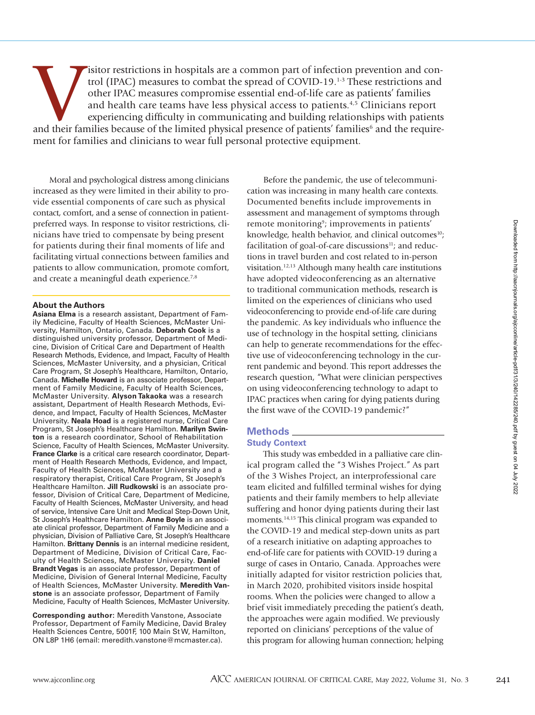isitor restrictions in hospitals are a common part of infection prevention and control (IPAC) measures to combat the spread of COVID-19.<sup>1-3</sup> These restrictions and other IPAC measures compromise essential end-of-life care trol (IPAC) measures to combat the spread of COVID-19.1-3 These restrictions and other IPAC measures compromise essential end-of-life care as patients' families and health care teams have less physical access to patients.4,5 Clinicians report experiencing difficulty in communicating and building relationships with patients ment for families and clinicians to wear full personal protective equipment.

Moral and psychological distress among clinicians increased as they were limited in their ability to provide essential components of care such as physical contact, comfort, and a sense of connection in patientpreferred ways. In response to visitor restrictions, clinicians have tried to compensate by being present for patients during their final moments of life and facilitating virtual connections between families and patients to allow communication, promote comfort, and create a meaningful death experience.<sup>7,8</sup>

# **About the Authors**

**Asiana Elma** is a research assistant, Department of Family Medicine, Faculty of Health Sciences, McMaster University, Hamilton, Ontario, Canada. **Deborah Cook** is a distinguished university professor, Department of Medicine, Division of Critical Care and Department of Health Research Methods, Evidence, and Impact, Faculty of Health Sciences, McMaster University, and a physician, Critical Care Program, St Joseph's Healthcare, Hamilton, Ontario, Canada. **Michelle Howard** is an associate professor, Department of Family Medicine, Faculty of Health Sciences, McMaster University. **Alyson Takaoka** was a research assistant, Department of Health Research Methods, Evidence, and Impact, Faculty of Health Sciences, McMaster University. **Neala Hoad** is a registered nurse, Critical Care Program, St Joseph's Healthcare Hamilton. **Marilyn Swinton** is a research coordinator, School of Rehabilitation Science, Faculty of Health Sciences, McMaster University. **France Clarke** is a critical care research coordinator, Department of Health Research Methods, Evidence, and Impact, Faculty of Health Sciences, McMaster University and a respiratory therapist, Critical Care Program, St Joseph's Healthcare Hamilton. **Jill Rudkowski** is an associate professor, Division of Critical Care, Department of Medicine, Faculty of Health Sciences, McMaster University, and head of service, Intensive Care Unit and Medical Step-Down Unit, St Joseph's Healthcare Hamilton. **Anne Boyle** is an associate clinical professor, Department of Family Medicine and a physician, Division of Palliative Care, St Joseph's Healthcare Hamilton. **Brittany Dennis** is an internal medicine resident, Department of Medicine, Division of Critical Care, Faculty of Health Sciences, McMaster University. **Daniel Brandt Vegas** is an associate professor, Department of Medicine, Division of General Internal Medicine, Faculty of Health Sciences, McMaster University. **Meredith Vanstone** is an associate professor, Department of Family Medicine, Faculty of Health Sciences, McMaster University.

**Corresponding author:** Meredith Vanstone, Associate Professor, Department of Family Medicine, David Braley Health Sciences Centre, 5001F, 100 Main St W, Hamilton, ON L8P 1H6 (email: meredith.vanstone@mcmaster.ca).

Before the pandemic, the use of telecommunication was increasing in many health care contexts. Documented benefits include improvements in assessment and management of symptoms through remote monitoring<sup>9</sup>; improvements in patients' knowledge, health behavior, and clinical outcomes<sup>10</sup>; facilitation of goal-of-care discussions $\mu$ ; and reductions in travel burden and cost related to in-person visitation.12,13 Although many health care institutions have adopted videoconferencing as an alternative to traditional communication methods, research is limited on the experiences of clinicians who used videoconferencing to provide end-of-life care during the pandemic. As key individuals who influence the use of technology in the hospital setting, clinicians can help to generate recommendations for the effective use of videoconferencing technology in the current pandemic and beyond. This report addresses the research question, "What were clinician perspectives on using videoconferencing technology to adapt to IPAC practices when caring for dying patients during the first wave of the COVID-19 pandemic?"

# **Methods**

# **Study Context**

This study was embedded in a palliative care clinical program called the "3 Wishes Project." As part of the 3 Wishes Project, an interprofessional care team elicited and fulfilled terminal wishes for dying patients and their family members to help alleviate suffering and honor dying patients during their last moments.<sup>14,15</sup> This clinical program was expanded to the COVID-19 and medical step-down units as part of a research initiative on adapting approaches to end-of-life care for patients with COVID-19 during a surge of cases in Ontario, Canada. Approaches were initially adapted for visitor restriction policies that, in March 2020, prohibited visitors inside hospital rooms. When the policies were changed to allow a brief visit immediately preceding the patient's death, the approaches were again modified. We previously reported on clinicians' perceptions of the value of this program for allowing human connection; helping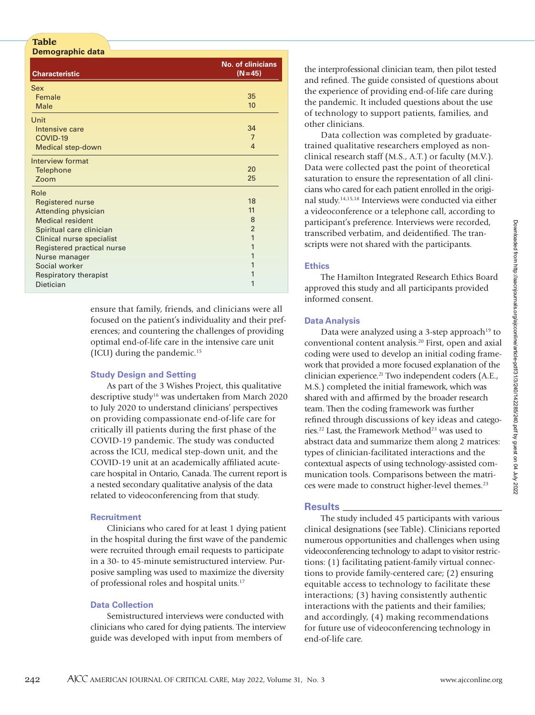### **Table Demographic data**

| <b>Characteristic</b>      | <b>No. of clinicians</b><br>$(N=45)$ |
|----------------------------|--------------------------------------|
| Sex                        |                                      |
| Female                     | 35                                   |
| <b>Male</b>                | 10                                   |
| Unit                       |                                      |
| Intensive care             | 34                                   |
| COVID-19                   | $\overline{7}$                       |
| <b>Medical step-down</b>   | $\overline{4}$                       |
| Interview format           |                                      |
| <b>Telephone</b>           | 20                                   |
| Zoom                       | 25                                   |
| Role                       |                                      |
| <b>Registered nurse</b>    | 18                                   |
| Attending physician        | 11                                   |
| <b>Medical resident</b>    | 8                                    |
| Spiritual care clinician   | $\overline{2}$                       |
| Clinical nurse specialist  | 1                                    |
| Registered practical nurse |                                      |
| Nurse manager              |                                      |
| Social worker              |                                      |
| Respiratory therapist      |                                      |
| Dietician                  |                                      |

ensure that family, friends, and clinicians were all focused on the patient's individuality and their preferences; and countering the challenges of providing optimal end-of-life care in the intensive care unit (ICU) during the pandemic.15

# **Study Design and Setting**

As part of the 3 Wishes Project, this qualitative descriptive study<sup>16</sup> was undertaken from March 2020 to July 2020 to understand clinicians' perspectives on providing compassionate end-of-life care for critically ill patients during the first phase of the COVID-19 pandemic. The study was conducted across the ICU, medical step-down unit, and the COVID-19 unit at an academically affiliated acutecare hospital in Ontario, Canada. The current report is a nested secondary qualitative analysis of the data related to videoconferencing from that study.

# **Recruitment**

Clinicians who cared for at least 1 dying patient in the hospital during the first wave of the pandemic were recruited through email requests to participate in a 30- to 45-minute semistructured interview. Purposive sampling was used to maximize the diversity of professional roles and hospital units.17

# **Data Collection**

Semistructured interviews were conducted with clinicians who cared for dying patients. The interview guide was developed with input from members of

the interprofessional clinician team, then pilot tested and refined. The guide consisted of questions about the experience of providing end-of-life care during the pandemic. It included questions about the use of technology to support patients, families, and other clinicians.

Data collection was completed by graduatetrained qualitative researchers employed as nonclinical research staff (M.S., A.T.) or faculty (M.V.). Data were collected past the point of theoretical saturation to ensure the representation of all clinicians who cared for each patient enrolled in the original study.14,15,18 Interviews were conducted via either a videoconference or a telephone call, according to participant's preference. Interviews were recorded, transcribed verbatim, and deidentified. The transcripts were not shared with the participants.

# **Ethics**

The Hamilton Integrated Research Ethics Board approved this study and all participants provided informed consent.

# **Data Analysis**

Data were analyzed using a 3-step approach<sup>19</sup> to conventional content analysis.20 First, open and axial coding were used to develop an initial coding framework that provided a more focused explanation of the clinician experience.<sup>21</sup> Two independent coders (A.E., M.S.) completed the initial framework, which was shared with and affirmed by the broader research team. Then the coding framework was further refined through discussions of key ideas and categories.<sup>22</sup> Last, the Framework Method<sup>23</sup> was used to abstract data and summarize them along 2 matrices: types of clinician-facilitated interactions and the contextual aspects of using technology-assisted communication tools. Comparisons between the matrices were made to construct higher-level themes.<sup>23</sup>

# **Results**

The study included 45 participants with various clinical designations (see Table). Clinicians reported numerous opportunities and challenges when using videoconferencing technology to adapt to visitor restrictions: (1) facilitating patient-family virtual connections to provide family-centered care; (2) ensuring equitable access to technology to facilitate these interactions; (3) having consistently authentic interactions with the patients and their families; and accordingly, (4) making recommendations for future use of videoconferencing technology in end-of-life care.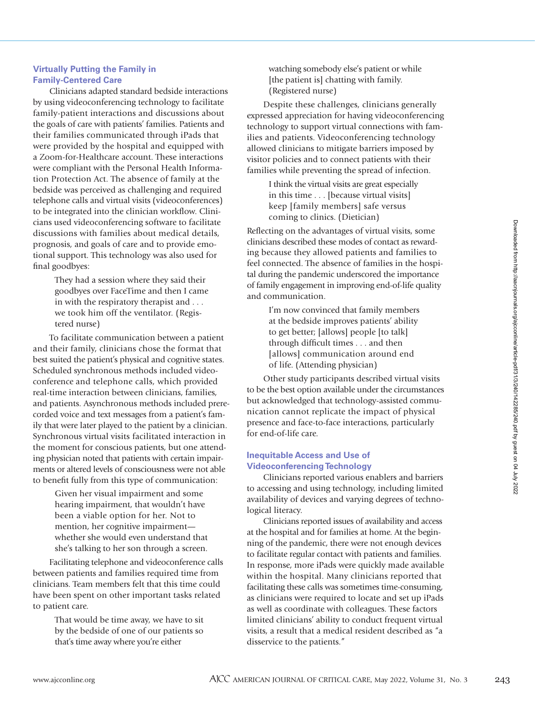# **Virtually Putting the Family in Family-Centered Care**

Clinicians adapted standard bedside interactions by using videoconferencing technology to facilitate family-patient interactions and discussions about the goals of care with patients' families. Patients and their families communicated through iPads that were provided by the hospital and equipped with a Zoom-for-Healthcare account. These interactions were compliant with the Personal Health Information Protection Act. The absence of family at the bedside was perceived as challenging and required telephone calls and virtual visits (videoconferences) to be integrated into the clinician workflow. Clinicians used videoconferencing software to facilitate discussions with families about medical details, prognosis, and goals of care and to provide emotional support. This technology was also used for final goodbyes:

> They had a session where they said their goodbyes over FaceTime and then I came in with the respiratory therapist and . . . we took him off the ventilator. (Registered nurse)

To facilitate communication between a patient and their family, clinicians chose the format that best suited the patient's physical and cognitive states. Scheduled synchronous methods included videoconference and telephone calls, which provided real-time interaction between clinicians, families, and patients. Asynchronous methods included prerecorded voice and text messages from a patient's family that were later played to the patient by a clinician. Synchronous virtual visits facilitated interaction in the moment for conscious patients, but one attending physician noted that patients with certain impairments or altered levels of consciousness were not able to benefit fully from this type of communication:

> Given her visual impairment and some hearing impairment, that wouldn't have been a viable option for her. Not to mention, her cognitive impairment whether she would even understand that she's talking to her son through a screen.

Facilitating telephone and videoconference calls between patients and families required time from clinicians. Team members felt that this time could have been spent on other important tasks related to patient care.

> That would be time away, we have to sit by the bedside of one of our patients so that's time away where you're either

watching somebody else's patient or while [the patient is] chatting with family. (Registered nurse)

Despite these challenges, clinicians generally expressed appreciation for having videoconferencing technology to support virtual connections with families and patients. Videoconferencing technology allowed clinicians to mitigate barriers imposed by visitor policies and to connect patients with their families while preventing the spread of infection.

> I think the virtual visits are great especially in this time . . . [because virtual visits] keep [family members] safe versus coming to clinics. (Dietician)

Reflecting on the advantages of virtual visits, some clinicians described these modes of contact as rewarding because they allowed patients and families to feel connected. The absence of families in the hospital during the pandemic underscored the importance of family engagement in improving end-of-life quality and communication.

> I'm now convinced that family members at the bedside improves patients' ability to get better; [allows] people [to talk] through difficult times . . . and then [allows] communication around end of life. (Attending physician)

Other study participants described virtual visits to be the best option available under the circumstances but acknowledged that technology-assisted communication cannot replicate the impact of physical presence and face-to-face interactions, particularly for end-of-life care.

# **Inequitable Access and Use of Videoconferencing Technology**

Clinicians reported various enablers and barriers to accessing and using technology, including limited availability of devices and varying degrees of technological literacy.

Clinicians reported issues of availability and access at the hospital and for families at home. At the beginning of the pandemic, there were not enough devices to facilitate regular contact with patients and families. In response, more iPads were quickly made available within the hospital. Many clinicians reported that facilitating these calls was sometimes time-consuming, as clinicians were required to locate and set up iPads as well as coordinate with colleagues. These factors limited clinicians' ability to conduct frequent virtual visits, a result that a medical resident described as "a disservice to the patients."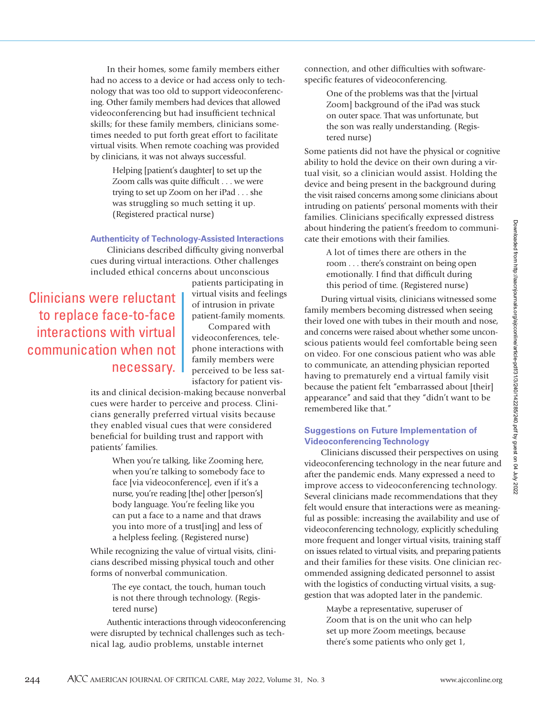In their homes, some family members either had no access to a device or had access only to technology that was too old to support videoconferencing. Other family members had devices that allowed videoconferencing but had insufficient technical skills; for these family members, clinicians sometimes needed to put forth great effort to facilitate virtual visits. When remote coaching was provided by clinicians, it was not always successful.

> Helping [patient's daughter] to set up the Zoom calls was quite difficult . . . we were trying to set up Zoom on her iPad . . . she was struggling so much setting it up. (Registered practical nurse)

**Authenticity of Technology-Assisted Interactions**

Clinicians described difficulty giving nonverbal cues during virtual interactions. Other challenges included ethical concerns about unconscious

Clinicians were reluctant to replace face-to-face interactions with virtual communication when not necessary.

patients participating in virtual visits and feelings of intrusion in private patient-family moments.

Compared with videoconferences, telephone interactions with family members were perceived to be less satisfactory for patient vis-

its and clinical decision-making because nonverbal cues were harder to perceive and process. Clinicians generally preferred virtual visits because they enabled visual cues that were considered beneficial for building trust and rapport with patients' families.

> When you're talking, like Zooming here, when you're talking to somebody face to face [via videoconference], even if it's a nurse, you're reading [the] other [person's] body language. You're feeling like you can put a face to a name and that draws you into more of a trust[ing] and less of a helpless feeling. (Registered nurse)

While recognizing the value of virtual visits, clinicians described missing physical touch and other forms of nonverbal communication.

> The eye contact, the touch, human touch is not there through technology. (Registered nurse)

Authentic interactions through videoconferencing were disrupted by technical challenges such as technical lag, audio problems, unstable internet

connection, and other difficulties with softwarespecific features of videoconferencing.

> One of the problems was that the [virtual Zoom] background of the iPad was stuck on outer space. That was unfortunate, but the son was really understanding. (Registered nurse)

Some patients did not have the physical or cognitive ability to hold the device on their own during a virtual visit, so a clinician would assist. Holding the device and being present in the background during the visit raised concerns among some clinicians about intruding on patients' personal moments with their families. Clinicians specifically expressed distress about hindering the patient's freedom to communicate their emotions with their families.

> A lot of times there are others in the room . . . there's constraint on being open emotionally. I find that difficult during this period of time. (Registered nurse)

During virtual visits, clinicians witnessed some family members becoming distressed when seeing their loved one with tubes in their mouth and nose, and concerns were raised about whether some unconscious patients would feel comfortable being seen on video. For one conscious patient who was able to communicate, an attending physician reported having to prematurely end a virtual family visit because the patient felt "embarrassed about [their] appearance" and said that they "didn't want to be remembered like that."

# **Suggestions on Future Implementation of Videoconferencing Technology**

Clinicians discussed their perspectives on using videoconferencing technology in the near future and after the pandemic ends. Many expressed a need to improve access to videoconferencing technology. Several clinicians made recommendations that they felt would ensure that interactions were as meaningful as possible: increasing the availability and use of videoconferencing technology, explicitly scheduling more frequent and longer virtual visits, training staff on issues related to virtual visits, and preparing patients and their families for these visits. One clinician recommended assigning dedicated personnel to assist with the logistics of conducting virtual visits, a suggestion that was adopted later in the pandemic.

> Maybe a representative, superuser of Zoom that is on the unit who can help set up more Zoom meetings, because there's some patients who only get 1,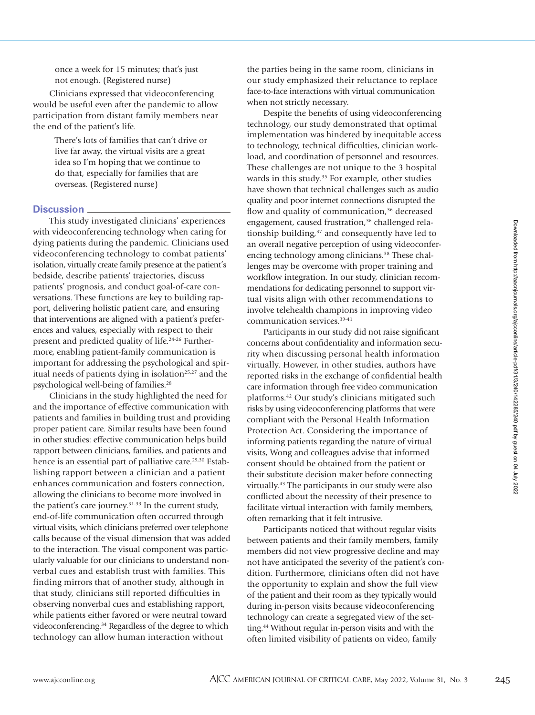once a week for 15 minutes; that's just not enough. (Registered nurse)

Clinicians expressed that videoconferencing would be useful even after the pandemic to allow participation from distant family members near the end of the patient's life.

> There's lots of families that can't drive or live far away, the virtual visits are a great idea so I'm hoping that we continue to do that, especially for families that are overseas. (Registered nurse)

# **Discussion**

This study investigated clinicians' experiences with videoconferencing technology when caring for dying patients during the pandemic. Clinicians used videoconferencing technology to combat patients' isolation, virtually create family presence at the patient's bedside, describe patients' trajectories, discuss patients' prognosis, and conduct goal-of-care conversations. These functions are key to building rapport, delivering holistic patient care, and ensuring that interventions are aligned with a patient's preferences and values, especially with respect to their present and predicted quality of life.24-26 Furthermore, enabling patient-family communication is important for addressing the psychological and spiritual needs of patients dying in isolation<sup>25,27</sup> and the psychological well-being of families.28

Clinicians in the study highlighted the need for and the importance of effective communication with patients and families in building trust and providing proper patient care. Similar results have been found in other studies: effective communication helps build rapport between clinicians, families, and patients and hence is an essential part of palliative care.<sup>29,30</sup> Establishing rapport between a clinician and a patient enhances communication and fosters connection, allowing the clinicians to become more involved in the patient's care journey.31-33 In the current study, end-of-life communication often occurred through virtual visits, which clinicians preferred over telephone calls because of the visual dimension that was added to the interaction. The visual component was particularly valuable for our clinicians to understand nonverbal cues and establish trust with families. This finding mirrors that of another study, although in that study, clinicians still reported difficulties in observing nonverbal cues and establishing rapport, while patients either favored or were neutral toward videoconferencing.34 Regardless of the degree to which technology can allow human interaction without

the parties being in the same room, clinicians in our study emphasized their reluctance to replace face-to-face interactions with virtual communication when not strictly necessary.

Despite the benefits of using videoconferencing technology, our study demonstrated that optimal implementation was hindered by inequitable access to technology, technical difficulties, clinician workload, and coordination of personnel and resources. These challenges are not unique to the 3 hospital wards in this study.<sup>35</sup> For example, other studies have shown that technical challenges such as audio quality and poor internet connections disrupted the flow and quality of communication,<sup>36</sup> decreased engagement, caused frustration,<sup>36</sup> challenged relationship building, $37$  and consequently have led to an overall negative perception of using videoconferencing technology among clinicians.<sup>38</sup> These challenges may be overcome with proper training and workflow integration. In our study, clinician recommendations for dedicating personnel to support virtual visits align with other recommendations to involve telehealth champions in improving video communication services.39-41

Participants in our study did not raise significant concerns about confidentiality and information security when discussing personal health information virtually. However, in other studies, authors have reported risks in the exchange of confidential health care information through free video communication platforms.42 Our study's clinicians mitigated such risks by using videoconferencing platforms that were compliant with the Personal Health Information Protection Act. Considering the importance of informing patients regarding the nature of virtual visits, Wong and colleagues advise that informed consent should be obtained from the patient or their substitute decision maker before connecting virtually.43 The participants in our study were also conflicted about the necessity of their presence to facilitate virtual interaction with family members, often remarking that it felt intrusive.

Participants noticed that without regular visits between patients and their family members, family members did not view progressive decline and may not have anticipated the severity of the patient's condition. Furthermore, clinicians often did not have the opportunity to explain and show the full view of the patient and their room as they typically would during in-person visits because videoconferencing technology can create a segregated view of the setting.44 Without regular in-person visits and with the often limited visibility of patients on video, family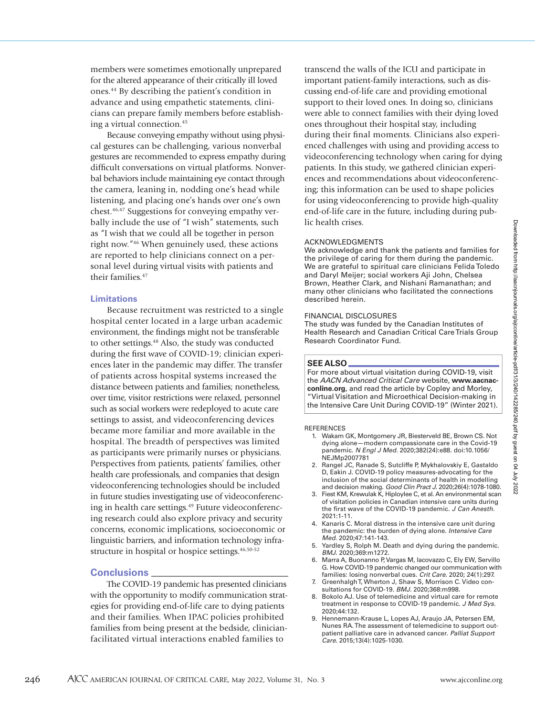members were sometimes emotionally unprepared for the altered appearance of their critically ill loved ones.44 By describing the patient's condition in advance and using empathetic statements, clinicians can prepare family members before establishing a virtual connection.45

Because conveying empathy without using physical gestures can be challenging, various nonverbal gestures are recommended to express empathy during difficult conversations on virtual platforms. Nonverbal behaviors include maintaining eye contact through the camera, leaning in, nodding one's head while listening, and placing one's hands over one's own chest.46,47 Suggestions for conveying empathy verbally include the use of "I wish" statements, such as "I wish that we could all be together in person right now."46 When genuinely used, these actions are reported to help clinicians connect on a personal level during virtual visits with patients and their families.47

# **Limitations**

Because recruitment was restricted to a single hospital center located in a large urban academic environment, the findings might not be transferable to other settings.<sup>48</sup> Also, the study was conducted during the first wave of COVID-19; clinician experiences later in the pandemic may differ. The transfer of patients across hospital systems increased the distance between patients and families; nonetheless, over time, visitor restrictions were relaxed, personnel such as social workers were redeployed to acute care settings to assist, and videoconferencing devices became more familiar and more available in the hospital. The breadth of perspectives was limited as participants were primarily nurses or physicians. Perspectives from patients, patients' families, other health care professionals, and companies that design videoconferencing technologies should be included in future studies investigating use of videoconferencing in health care settings.<sup>49</sup> Future videoconferencing research could also explore privacy and security concerns, economic implications, socioeconomic or linguistic barriers, and information technology infrastructure in hospital or hospice settings.<sup>46,50-52</sup>

# **Conclusions**

The COVID-19 pandemic has presented clinicians with the opportunity to modify communication strategies for providing end-of-life care to dying patients and their families. When IPAC policies prohibited families from being present at the bedside, clinicianfacilitated virtual interactions enabled families to

transcend the walls of the ICU and participate in important patient-family interactions, such as discussing end-of-life care and providing emotional support to their loved ones. In doing so, clinicians were able to connect families with their dying loved ones throughout their hospital stay, including during their final moments. Clinicians also experienced challenges with using and providing access to videoconferencing technology when caring for dying patients. In this study, we gathered clinician experiences and recommendations about videoconferencing; this information can be used to shape policies for using videoconferencing to provide high-quality end-of-life care in the future, including during public health crises.

### ACKNOWLEDGMENTS

We acknowledge and thank the patients and families for the privilege of caring for them during the pandemic. We are grateful to spiritual care clinicians Felida Toledo and Daryl Meijer; social workers Aji John, Chelsea Brown, Heather Clark, and Nishani Ramanathan; and many other clinicians who facilitated the connections described herein.

### FINANCIAL DISCLOSURES

The study was funded by the Canadian Institutes of Health Research and Canadian Critical Care Trials Group Research Coordinator Fund.

### **SEE ALSO**

For more about virtual visitation during COVID-19, visit the AACN Advanced Critical Care website, **www.aacnacconline.org**, and read the article by Copley and Morley, "Virtual Visitation and Microethical Decision-making in the Intensive Care Unit During COVID-19" (Winter 2021).

### REFERENCES

- 1. Wakam GK, Montgomery JR, Biesterveld BE, Brown CS. Not dying alone—modern compassionate care in the Covid-19 pandemic. N Engl J Med. 2020;382(24):e88. doi:10.1056/ NEJMp2007781
- 2. Rangel JC, Ranade S, Sutcliffe P, Mykhalovskiy E, Gastaldo D, Eakin J. COVID-19 policy measures-advocating for the inclusion of the social determinants of health in modelling and decision making. Good Clin Pract J. 2020;26(4):1078-1080.
- 3. Fiest KM, Krewulak K, Hiploylee C, et al. An environmental scan of visitation policies in Canadian intensive care units during the first wave of the COVID-19 pandemic. J Can Anesth. 2021:1-11.
- 4. Kanaris C. Moral distress in the intensive care unit during the pandemic: the burden of dying alone. Intensive Care Med. 2020;47:141-143.
- 5. Yardley S, Rolph M. Death and dying during the pandemic. BMJ. 2020;369:m1272.
- 6. Marra A, Buonanno P, Vargas M, Iacovazzo C, Ely EW, Servillo G. How COVID-19 pandemic changed our communication with families: losing nonverbal cues. Crit Care. 2020; 24(1):297.
- 7. Greenhalgh T, Wherton J, Shaw S, Morrison C. Video consultations for COVID-19. BMJ. 2020;368:m998.
- 8. Bokolo AJ. Use of telemedicine and virtual care for remote treatment in response to COVID-19 pandemic. J Med Sys. 2020;44:132.
- 9. Hennemann-Krause L, Lopes AJ, Araujo JA, Petersen EM, Nunes RA. The assessment of telemedicine to support outpatient palliative care in advanced cancer. Palliat Support Care. 2015;13(4):1025-1030.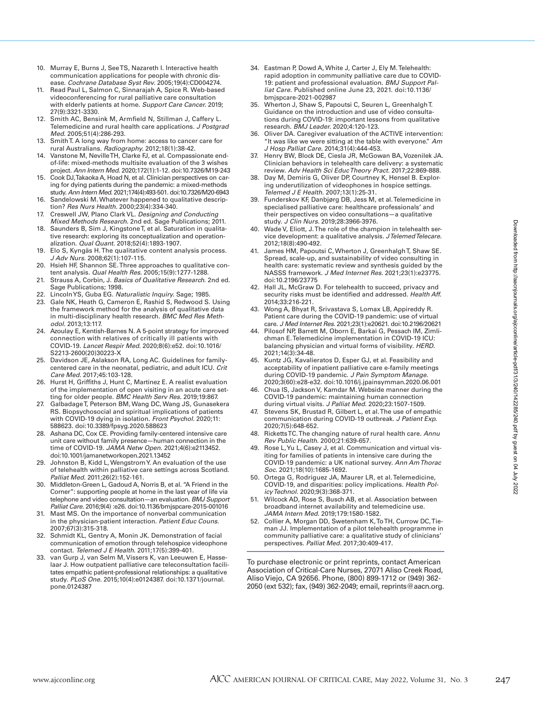- 10. Murray E, Burns J, See TS, Nazareth I. Interactive health communication applications for people with chronic disease. Cochrane Database Syst Rev. 2005;19(4):CD004274.
- 11. Read Paul L, Salmon C, Sinnarajah A, Spice R. Web-based videoconferencing for rural palliative care consultation with elderly patients at home. Support Care Cancer. 2019; 27(9):3321-3330.
- 12. Smith AC, Bensink M, Armfield N, Stillman J, Caffery L. Telemedicine and rural health care applications. J Postgrad Med. 2005;51(4):286-293.
- 13. Smith T. A long way from home: access to cancer care for rural Australians. Radiography. 2012;18(1):38-42.
- 14. Vanstone M, Neville TH, Clarke FJ, et al. Compassionate endof-life: mixed-methods multisite evaluation of the 3 wishes project. Ann Intern Med. 2020;172(1):1-12. doi:10.7326/M19-243
- 15. Cook DJ, Takaoka A, Hoad N, et al. Clinician perspectives on caring for dying patients during the pandemic: a mixed-methods study. Ann Intern Med. 2021;174(4):493-501. doi:10.7326/M20-6943
- 16. Sandelowski M. Whatever happened to qualitative description? Res Nurs Health. 2000;23(4):334-340. Creswell JW, Plano Clark VL. Designing and Conducting
- Mixed Methods Research. 2nd ed. Sage Publications; 2011. 18. Saunders B, Sim J, Kingstone T, et al. Saturation in qualita-
- tive research: exploring its conceptualization and operationalization. Qual Quant. 2018;52(4):1893-1907.
- 19. Elo S, Kyngäs H. The qualitative content analysis process. J Adv Nurs. 2008;62(1):107-115.
- 20. Hsieh HF, Shannon SE. Three approaches to qualitative content analysis. Qual Health Res. 2005;15(9):1277-1288. 21. Strauss A, Corbin, J. Basics of Qualitative Research. 2nd ed.
- Sage Publications; 1998.
- 22. Lincoln YS, Guba EG. Naturalistic Inquiry. Sage; 1985. 23. Gale NK, Heath G, Cameron E, Rashid S, Redwood S. Using the framework method for the analysis of qualitative data in multi-disciplinary health research. BMC Med Res Methodol. 2013;13:117.
- 24. Azoulay E, Kentish-Barnes N. A 5-point strategy for improved connection with relatives of critically ill patients with COVID-19. Lancet Respir Med. 2020;8(6):e52. doi:10.1016/ S2213-2600(20)30223-X
- 25. Davidson JE, Aslakson RA, Long AC. Guidelines for familycentered care in the neonatal, pediatric, and adult ICU. Crit Care Med. 2017;45:103-128.
- 26. Hurst H, Griffiths J, Hunt C, Martinez E. A realist evaluation of the implementation of open visiting in an acute care setting for older people. BMC Health Serv Res. 2019;19:867.
- Galbadage T, Peterson BM, Wang DC, Wang JS, Gunasekera RS. Biopsychosocial and spiritual implications of patients with COVID-19 dying in isolation. Front Psychol. 2020;11: 588623. doi:10.3389/fpsyg.2020.588623
- 28. Ashana DC, Cox CE. Providing family-centered intensive care unit care without family presence—human connection in the time of COVID-19. JAMA Netw Open. 2021;4(6):e2113452. doi:10.1001/jamanetworkopen.2021.13452
- 29. Johnston B, Kidd L, Wengstrom Y. An evaluation of the use of telehealth within palliative care settings across Scotland. Palliat Med. 2011;26(2):152-161.
- 30. Middleton-Green L, Gadoud A, Norris B, et al. "A Friend in the Corner": supporting people at home in the last year of life via telephone and video consultation—an evaluation. BMJ Support Palliat Care. 2016;9(4) :e26. doi:10.1136/bmjspcare-2015-001016
- 31. Mast MS. On the importance of nonverbal communication in the physician-patient interaction. Patient Educ Couns. 2007;67(3):315-318.
- 32. Schmidt KL, Gentry A, Monin JK. Demonstration of facial communication of emotion through telehospice videophone contact. Telemed J E Health. 2011;17(5):399-401.
- 33. van Gurp J, van Selm M, Vissers K, van Leeuwen E, Hasselaar J. How outpatient palliative care teleconsultation facilitates empathic patient-professional relationships: a qualitative study. PLoS One. 2015;10(4):e0124387. doi:10.1371/journal. pone.0124387
- 34. Eastman P, Dowd A, White J, Carter J, Ely M. Telehealth: rapid adoption in community palliative care due to COVID-19: patient and professional evaluation. BMJ Support Palliat Care. Published online June 23, 2021. doi:10.1136/ bmjspcare-2021-002987
- 35. Wherton J, Shaw S, Papoutsi C, Seuren L, Greenhalgh T. Guidance on the introduction and use of video consultations during COVID-19: important lessons from qualitative research. BMJ Leader. 2020;4:120-123.
- 36. Oliver DA. Caregiver evaluation of the ACTIVE intervention: "It was like we were sitting at the table with everyone."  $A m$ J Hosp Palliat Care. 2014;31(4):444-453.
- 37. Henry BW, Block DE, Ciesla JR, McGowan BA, Vozenilek JA. Clinician behaviors in telehealth care delivery: a systematic review. Adv Health Sci Educ Theory Pract. 2017;22:869-888.
- 38. Day M, Demiris G, Oliver DP, Courtney K, Hensel B. Exploring underutilization of videophones in hospice settings. Telemed J E Health. 2007;13(1):25-31.
- 39. Funderskov KF, Danbjørg DB, Jess M, et al. Telemedicine in specialised palliative care: healthcare professionals' and their perspectives on video consultations—a qualitative study. J Clin Nurs. 2019;28:3966-3976.
- 40. Wade V, Eliott, J. The role of the champion in telehealth service development: a qualitative analysis. J Telemed Telecare. 2012;18(8):490-492.
- 41. James HM, Papoutsi C, Wherton J, Greenhalgh T, Shaw SE. Spread, scale-up, and sustainability of video consulting in health care: systematic review and synthesis guided by the NASSS framework. J Med Internet Res. 2021;23(1):e23775. doi:10.2196/23775
- 42. Hall JL, McGraw D. For telehealth to succeed, privacy and security risks must be identified and addressed. Health Aff. 2014;33:216-221.
- 43. Wong A, Bhyat R, Srivastava S, Lomax LB, Appireddy R. Patient care during the COVID-19 pandemic: use of virtual care. J Med Internet Res. 2021;23(1):e20621. doi:10.2196/20621
- 44. Pilosof NP, Barrett M, Oborn E, Barkai G, Pessach IM, Zimlichman E. Telemedicine implementation in COVID-19 ICU: balancing physician and virtual forms of visibility. HERD. 2021;14(3):34-48.
- 45. Kuntz JG, Kavalieratos D, Esper GJ, et al. Feasibility and acceptability of inpatient palliative care e-family meetings during COVID-19 pandemic. J Pain Symptom Manage. 2020;3(60):e28-e32. doi:10.1016/j.jpainsymman.2020.06.001
- 46. Chua IS, Jackson V, Kamdar M. Webside manner during the COVID-19 pandemic: maintaining human connection during virtual visits. J Palliat Med. 2020;23:1507-1509.
- 47. Stevens SK, Brustad R, Gilbert L, et al. The use of empathic communication during COVID-19 outbreak. J Patient Exp. 2020;7(5):648-652.
- 48. Ricketts TC. The changing nature of rural health care. Annu Rev Public Health. 2000;21:639-657.
- 49. Rose L, Yu L, Casey J, et al. Communication and virtual visiting for families of patients in intensive care during the COVID-19 pandemic: a UK national survey. Ann Am Thorac Soc. 2021;18(10):1685-1692.
- 50. Ortega G, Rodriguez JA, Maurer LR, et al. Telemedicine, COVID-19, and disparities: policy implications. Health Policy Technol. 2020;9(3):368-371.
- 51. Wilcock AD, Rose S, Busch AB, et al. Association between broadband internet availability and telemedicine use. JAMA Intern Med. 2019;179:1580-1582.
- 52. Collier A, Morgan DD, Swetenham K, To TH, Currow DC, Tieman JJ. Implementation of a pilot telehealth programme in community palliative care: a qualitative study of clinicians' perspectives. Palliat Med. 2017;30:409-417.

To purchase electronic or print reprints, contact American Association of Critical-Care Nurses, 27071 Aliso Creek Road, Aliso Viejo, CA 92656. Phone, (800) 899-1712 or (949) 362- 2050 (ext 532); fax, (949) 362-2049; email, reprints@aacn.org.